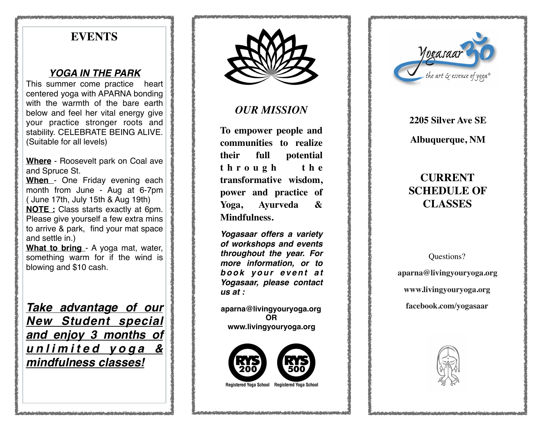



## *OUR MISSION*

**To empower people and communities to realize their full potential t h r o u g h t h e transformative wisdom, power and practice of Yoga, Ayurveda & Mindfulness.**

*Yogasaar offers a variety of workshops and events throughout the year. For more information, or to book your event at Yogasaar, please contact us at :*

**aparna@livingyouryoga.org OR www.livingyouryoga.org**





**Registered Yoga School Registered Yoga Schoo** 



**2205 Silver Ave SE**

**Albuquerque, NM**

## **CURRENT SCHEDULE OF CLASSES**

Questions? **aparna@livingyouryoga.org [www.livingyouryoga.org](http://www.livingyouryoga.org) facebook.com/yogasaar**